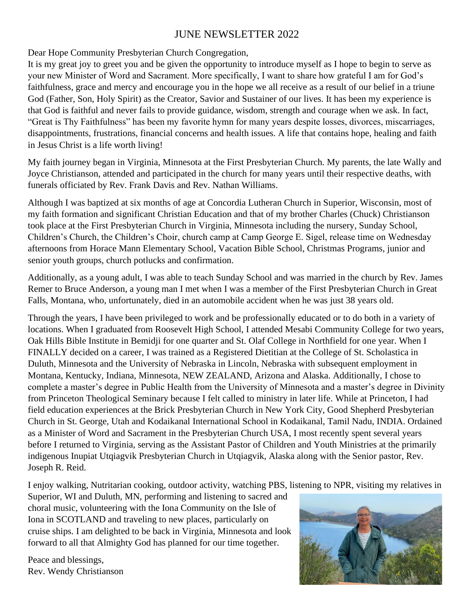#### JUNE NEWSLETTER 2022

Dear Hope Community Presbyterian Church Congregation,

It is my great joy to greet you and be given the opportunity to introduce myself as I hope to begin to serve as your new Minister of Word and Sacrament. More specifically, I want to share how grateful I am for God's faithfulness, grace and mercy and encourage you in the hope we all receive as a result of our belief in a triune God (Father, Son, Holy Spirit) as the Creator, Savior and Sustainer of our lives. It has been my experience is that God is faithful and never fails to provide guidance, wisdom, strength and courage when we ask. In fact, "Great is Thy Faithfulness" has been my favorite hymn for many years despite losses, divorces, miscarriages, disappointments, frustrations, financial concerns and health issues. A life that contains hope, healing and faith in Jesus Christ is a life worth living!

My faith journey began in Virginia, Minnesota at the First Presbyterian Church. My parents, the late Wally and Joyce Christianson, attended and participated in the church for many years until their respective deaths, with funerals officiated by Rev. Frank Davis and Rev. Nathan Williams.

Although I was baptized at six months of age at Concordia Lutheran Church in Superior, Wisconsin, most of my faith formation and significant Christian Education and that of my brother Charles (Chuck) Christianson took place at the First Presbyterian Church in Virginia, Minnesota including the nursery, Sunday School, Children's Church, the Children's Choir, church camp at Camp George E. Sigel, release time on Wednesday afternoons from Horace Mann Elementary School, Vacation Bible School, Christmas Programs, junior and senior youth groups, church potlucks and confirmation.

Additionally, as a young adult, I was able to teach Sunday School and was married in the church by Rev. James Remer to Bruce Anderson, a young man I met when I was a member of the First Presbyterian Church in Great Falls, Montana, who, unfortunately, died in an automobile accident when he was just 38 years old.

Through the years, I have been privileged to work and be professionally educated or to do both in a variety of locations. When I graduated from Roosevelt High School, I attended Mesabi Community College for two years, Oak Hills Bible Institute in Bemidji for one quarter and St. Olaf College in Northfield for one year. When I FINALLY decided on a career, I was trained as a Registered Dietitian at the College of St. Scholastica in Duluth, Minnesota and the University of Nebraska in Lincoln, Nebraska with subsequent employment in Montana, Kentucky, Indiana, Minnesota, NEW ZEALAND, Arizona and Alaska. Additionally, I chose to complete a master's degree in Public Health from the University of Minnesota and a master's degree in Divinity from Princeton Theological Seminary because I felt called to ministry in later life. While at Princeton, I had field education experiences at the Brick Presbyterian Church in New York City, Good Shepherd Presbyterian Church in St. George, Utah and Kodaikanal International School in Kodaikanal, Tamil Nadu, INDIA. Ordained as a Minister of Word and Sacrament in the Presbyterian Church USA, I most recently spent several years before I returned to Virginia, serving as the Assistant Pastor of Children and Youth Ministries at the primarily indigenous Inupiat Utqiagvik Presbyterian Church in Utqiagvik, Alaska along with the Senior pastor, Rev. Joseph R. Reid.

I enjoy walking, Nutritarian cooking, outdoor activity, watching PBS, listening to NPR, visiting my relatives in

Superior, WI and Duluth, MN, performing and listening to sacred and choral music, volunteering with the Iona Community on the Isle of Iona in SCOTLAND and traveling to new places, particularly on cruise ships. I am delighted to be back in Virginia, Minnesota and look forward to all that Almighty God has planned for our time together.

Peace and blessings, Rev. Wendy Christianson

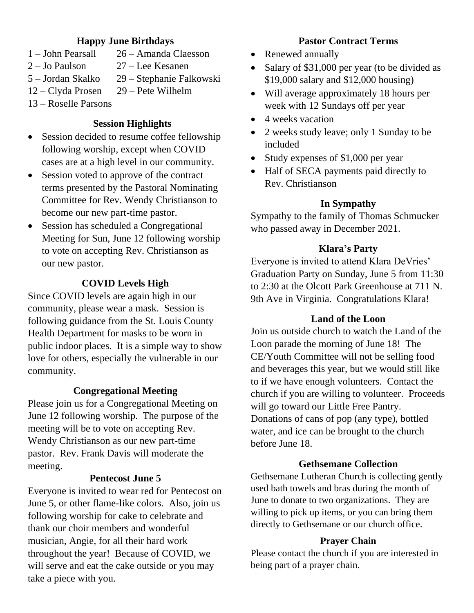#### **Happy June Birthdays**

- 1 John Pearsall 26 Amanda Claesson
- 
- 2 Jo Paulson 27 Lee Kesanen
- 5 Jordan Skalko 29 Stephanie Falkowski
- 12 Clyda Prosen 29 Pete Wilhelm
- 13 Roselle Parsons

#### **Session Highlights**

- Session decided to resume coffee fellowship following worship, except when COVID cases are at a high level in our community.
- Session voted to approve of the contract terms presented by the Pastoral Nominating Committee for Rev. Wendy Christianson to become our new part-time pastor.
- Session has scheduled a Congregational Meeting for Sun, June 12 following worship to vote on accepting Rev. Christianson as our new pastor.

#### **COVID Levels High**

Since COVID levels are again high in our community, please wear a mask. Session is following guidance from the St. Louis County Health Department for masks to be worn in public indoor places. It is a simple way to show love for others, especially the vulnerable in our community.

#### **Congregational Meeting**

Please join us for a Congregational Meeting on June 12 following worship. The purpose of the meeting will be to vote on accepting Rev. Wendy Christianson as our new part-time pastor. Rev. Frank Davis will moderate the meeting.

#### **Pentecost June 5**

Everyone is invited to wear red for Pentecost on June 5, or other flame-like colors. Also, join us following worship for cake to celebrate and thank our choir members and wonderful musician, Angie, for all their hard work throughout the year! Because of COVID, we will serve and eat the cake outside or you may take a piece with you.

#### **Pastor Contract Terms**

- Renewed annually
- Salary of \$31,000 per year (to be divided as \$19,000 salary and \$12,000 housing)
- Will average approximately 18 hours per week with 12 Sundays off per year
- 4 weeks vacation
- 2 weeks study leave; only 1 Sunday to be included
- Study expenses of \$1,000 per year
- Half of SECA payments paid directly to Rev. Christianson

#### **In Sympathy**

Sympathy to the family of Thomas Schmucker who passed away in December 2021.

#### **Klara's Party**

Everyone is invited to attend Klara DeVries' Graduation Party on Sunday, June 5 from 11:30 to 2:30 at the Olcott Park Greenhouse at 711 N. 9th Ave in Virginia. Congratulations Klara!

#### **Land of the Loon**

Join us outside church to watch the Land of the Loon parade the morning of June 18! The CE/Youth Committee will not be selling food and beverages this year, but we would still like to if we have enough volunteers. Contact the church if you are willing to volunteer. Proceeds will go toward our Little Free Pantry. Donations of cans of pop (any type), bottled water, and ice can be brought to the church before June 18.

#### **Gethsemane Collection**

Gethsemane Lutheran Church is collecting gently used bath towels and bras during the month of June to donate to two organizations. They are willing to pick up items, or you can bring them directly to Gethsemane or our church office.

#### **Prayer Chain**

Please contact the church if you are interested in being part of a prayer chain.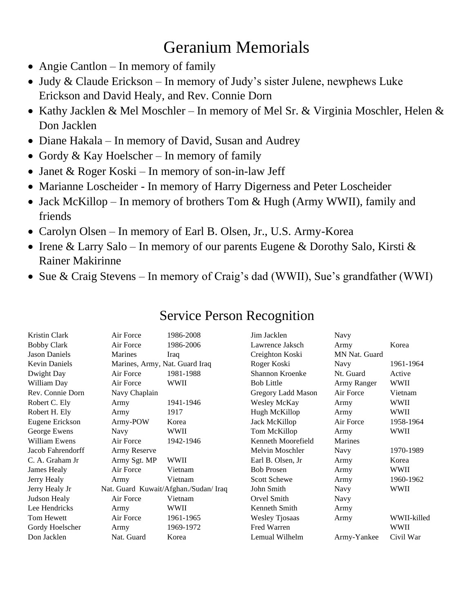## Geranium Memorials

- Angie Cantlon In memory of family
- Judy & Claude Erickson In memory of Judy's sister Julene, newphews Luke Erickson and David Healy, and Rev. Connie Dorn
- Kathy Jacklen & Mel Moschler In memory of Mel Sr. & Virginia Moschler, Helen & Don Jacklen
- Diane Hakala In memory of David, Susan and Audrey
- Gordy & Kay Hoelscher In memory of family
- Janet & Roger Koski In memory of son-in-law Jeff
- Marianne Loscheider In memory of Harry Digerness and Peter Loscheider
- Jack McKillop In memory of brothers Tom & Hugh (Army WWII), family and friends
- Carolyn Olsen In memory of Earl B. Olsen, Jr., U.S. Army-Korea
- Irene & Larry Salo In memory of our parents Eugene & Dorothy Salo, Kirsti & Rainer Makirinne
- Sue & Craig Stevens In memory of Craig's dad (WWII), Sue's grandfather (WWI)

| Kristin Clark      | Air Force                             | 1986-2008   | Jim Jacklen           | Navy          |             |
|--------------------|---------------------------------------|-------------|-----------------------|---------------|-------------|
| <b>Bobby Clark</b> | Air Force                             | 1986-2006   | Lawrence Jaksch       | Army          | Korea       |
| Jason Daniels      | Marines                               | Iraq        | Creighton Koski       | MN Nat. Guard |             |
| Kevin Daniels      | Marines, Army, Nat. Guard Iraq        |             | Roger Koski           | Navy          | 1961-1964   |
| Dwight Day         | Air Force                             | 1981-1988   | Shannon Kroenke       | Nt. Guard     | Active      |
| William Day        | Air Force                             | WWII        | <b>Bob Little</b>     | Army Ranger   | <b>WWII</b> |
| Rev. Connie Dorn   | Navy Chaplain                         |             | Gregory Ladd Mason    | Air Force     | Vietnam     |
| Robert C. Ely      | Army                                  | 1941-1946   | Wesley McKay          | Army          | <b>WWII</b> |
| Robert H. Ely      | Army                                  | 1917        | Hugh McKillop         | Army          | WWII        |
| Eugene Erickson    | Army-POW                              | Korea       | Jack McKillop         | Air Force     | 1958-1964   |
| George Ewens       | Navy                                  | WWII        | Tom McKillop          | Army          | WWII        |
| William Ewens      | Air Force                             | 1942-1946   | Kenneth Moorefield    | Marines       |             |
| Jacob Fahrendorff  | Army Reserve                          |             | Melvin Moschler       | Navy          | 1970-1989   |
| C. A. Graham Jr    | Army Sgt. MP                          | <b>WWII</b> | Earl B. Olsen, Jr.    | Army          | Korea       |
| James Healy        | Air Force                             | Vietnam     | <b>Bob Prosen</b>     | Army          | WWII        |
| Jerry Healy        | Army                                  | Vietnam     | <b>Scott Schewe</b>   | Army          | 1960-1962   |
| Jerry Healy Jr     | Nat. Guard Kuwait/Afghan./Sudan/ Iraq |             | John Smith            | Navy          | WWII        |
| Judson Healy       | Air Force                             | Vietnam     | Orvel Smith           | Navy          |             |
| Lee Hendricks      | Army                                  | WWII        | Kenneth Smith         | Army          |             |
| Tom Hewett         | Air Force                             | 1961-1965   | <b>Wesley Tjosaas</b> | Army          | WWII-killed |
| Gordy Hoelscher    | Army                                  | 1969-1972   | Fred Warren           |               | <b>WWII</b> |
| Don Jacklen        | Nat. Guard                            | Korea       | Lemual Wilhelm        | Army-Yankee   | Civil War   |
|                    |                                       |             |                       |               |             |

## Service Person Recognition